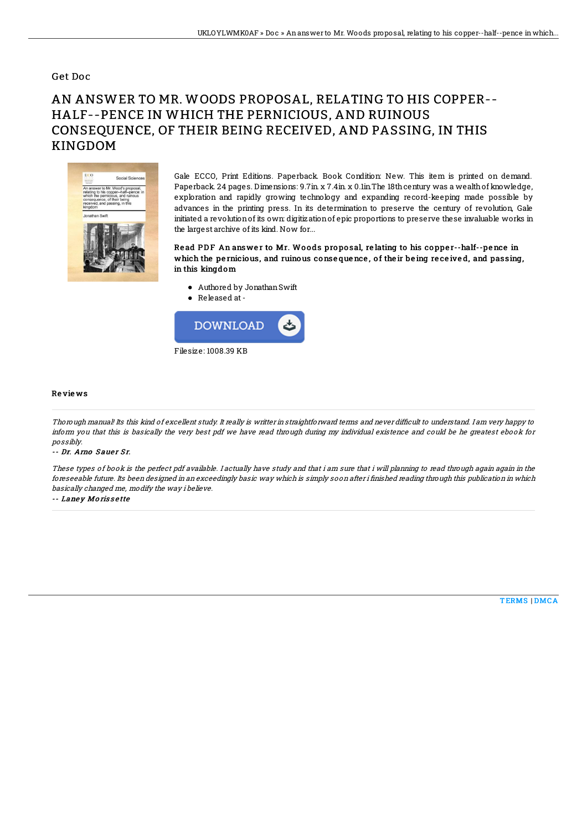### Get Doc

# AN ANSWER TO MR. WOODS PROPOSAL, RELATING TO HIS COPPER-- HALF--PENCE IN WHICH THE PERNICIOUS, AND RUINOUS CONSEQUENCE, OF THEIR BEING RECEIVED, AND PASSING, IN THIS KINGDOM



Gale ECCO, Print Editions. Paperback. Book Condition: New. This item is printed on demand. Paperback. 24 pages. Dimensions: 9.7in. x 7.4in. x 0.1in.The 18th century was a wealth of knowledge, exploration and rapidly growing technology and expanding record-keeping made possible by advances in the printing press. In its determination to preserve the century of revolution, Gale initiated a revolutionof its own: digitizationof epic proportions to preserve these invaluable works in the largest archive of its kind. Now for...

#### Read PDF An answer to Mr. Woods proposal, relating to his copper--half--pence in which the pernicious, and ruinous consequence, of their being received, and passing, in this kingdom

- Authored by JonathanSwift
- Released at-



#### Re vie ws

Thorough manual! Its this kind of excellent study. It really is writter in straightforward terms and never difficult to understand. I am very happy to inform you that this is basically the very best pdf we have read through during my individual existence and could be he greatest ebook for possibly.

#### -- Dr. Arno Sauer Sr.

These types of book is the perfect pdf available. I actually have study and that i am sure that i will planning to read through again again in the foreseeable future. Its been designed in an exceedingly basic way which is simply soon after i finished reading through this publication in which basically changed me, modify the way i believe.

-- Laney Morissette